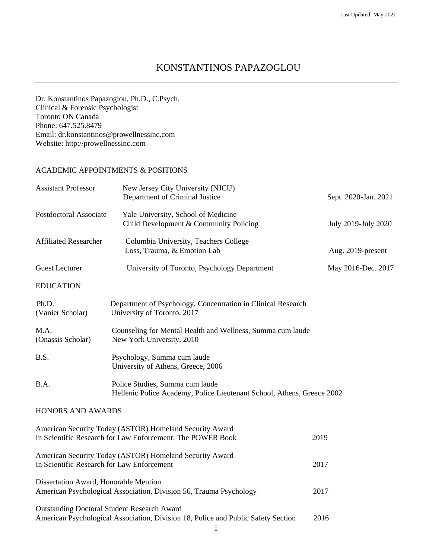# KONSTANTINOS PAPAZOGLOU

Dr. Konstantinos Papazoglou, Ph.D., C.Psych. Clinical & Forensic Psychologist Toronto ON Canada Phone: 647.525.8479 Email: dr.konstantinos@prowellnessinc.com Website: http://prowellnessinc.com

# ACADEMIC APPOINTMENTS & POSITIONS

| <b>Assistant Professor</b>                                                                                            | New Jersey City University (NJCU)<br>Department of Criminal Justice                                                                          | Sept. 2020-Jan. 2021 |
|-----------------------------------------------------------------------------------------------------------------------|----------------------------------------------------------------------------------------------------------------------------------------------|----------------------|
| Postdoctoral Associate                                                                                                | Yale University, School of Medicine<br>Child Development & Community Policing                                                                | July 2019-July 2020  |
| <b>Affiliated Researcher</b>                                                                                          | Columbia University, Teachers College<br>Loss, Trauma, & Emotion Lab                                                                         | Aug. 2019-present    |
| <b>Guest Lecturer</b>                                                                                                 | University of Toronto, Psychology Department                                                                                                 | May 2016-Dec. 2017   |
| <b>EDUCATION</b>                                                                                                      |                                                                                                                                              |                      |
| Ph.D.<br>(Vanier Scholar)                                                                                             | Department of Psychology, Concentration in Clinical Research<br>University of Toronto, 2017                                                  |                      |
| M.A.<br>(Onassis Scholar)                                                                                             | Counseling for Mental Health and Wellness, Summa cum laude<br>New York University, 2010                                                      |                      |
| B.S.                                                                                                                  | Psychology, Summa cum laude<br>University of Athens, Greece, 2006                                                                            |                      |
| B.A.                                                                                                                  | Police Studies, Summa cum laude<br>Hellenic Police Academy, Police Lieutenant School, Athens, Greece 2002                                    |                      |
| HONORS AND AWARDS                                                                                                     |                                                                                                                                              |                      |
| American Security Today (ASTOR) Homeland Security Award<br>In Scientific Research for Law Enforcement: The POWER Book | 2019                                                                                                                                         |                      |
| American Security Today (ASTOR) Homeland Security Award<br>In Scientific Research for Law Enforcement                 |                                                                                                                                              | 2017                 |
| Dissertation Award, Honorable Mention<br>American Psychological Association, Division 56, Trauma Psychology           |                                                                                                                                              | 2017                 |
|                                                                                                                       | <b>Outstanding Doctoral Student Research Award</b><br>American Psychological Association, Division 18, Police and Public Safety Section<br>1 | 2016                 |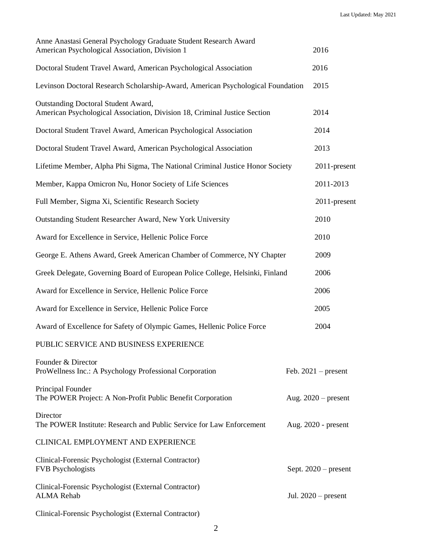| Anne Anastasi General Psychology Graduate Student Research Award<br>American Psychological Association, Division 1 | 2016                   |
|--------------------------------------------------------------------------------------------------------------------|------------------------|
| Doctoral Student Travel Award, American Psychological Association                                                  | 2016                   |
| Levinson Doctoral Research Scholarship-Award, American Psychological Foundation                                    | 2015                   |
| Outstanding Doctoral Student Award,<br>American Psychological Association, Division 18, Criminal Justice Section   | 2014                   |
| Doctoral Student Travel Award, American Psychological Association                                                  | 2014                   |
| Doctoral Student Travel Award, American Psychological Association                                                  | 2013                   |
| Lifetime Member, Alpha Phi Sigma, The National Criminal Justice Honor Society                                      | 2011-present           |
| Member, Kappa Omicron Nu, Honor Society of Life Sciences                                                           | 2011-2013              |
| Full Member, Sigma Xi, Scientific Research Society                                                                 | 2011-present           |
| Outstanding Student Researcher Award, New York University                                                          | 2010                   |
| Award for Excellence in Service, Hellenic Police Force                                                             | 2010                   |
| George E. Athens Award, Greek American Chamber of Commerce, NY Chapter                                             |                        |
| Greek Delegate, Governing Board of European Police College, Helsinki, Finland                                      | 2006                   |
| Award for Excellence in Service, Hellenic Police Force                                                             | 2006                   |
| Award for Excellence in Service, Hellenic Police Force                                                             | 2005                   |
| Award of Excellence for Safety of Olympic Games, Hellenic Police Force                                             | 2004                   |
| PUBLIC SERVICE AND BUSINESS EXPERIENCE                                                                             |                        |
| Founder & Director<br>ProWellness Inc.: A Psychology Professional Corporation                                      | Feb. $2021$ – present  |
| Principal Founder<br>The POWER Project: A Non-Profit Public Benefit Corporation                                    | Aug. $2020$ – present  |
| Director<br>The POWER Institute: Research and Public Service for Law Enforcement                                   | Aug. 2020 - present    |
| CLINICAL EMPLOYMENT AND EXPERIENCE                                                                                 |                        |
| Clinical-Forensic Psychologist (External Contractor)<br><b>FVB</b> Psychologists                                   | Sept. $2020$ – present |
| Clinical-Forensic Psychologist (External Contractor)<br><b>ALMA</b> Rehab                                          | Jul. $2020$ – present  |
| Clinical-Forensic Psychologist (External Contractor)                                                               |                        |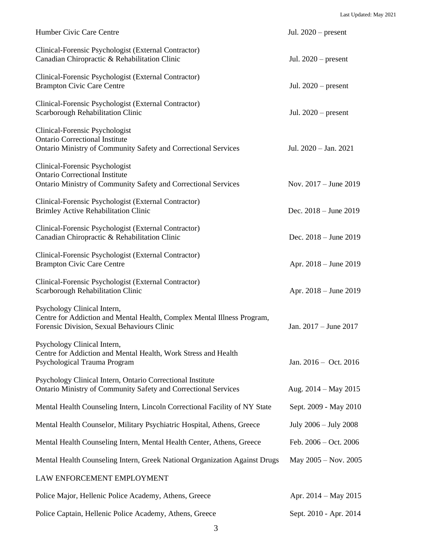| Humber Civic Care Centre                                                                                                                              | Jul. $2020$ – present     |
|-------------------------------------------------------------------------------------------------------------------------------------------------------|---------------------------|
| Clinical-Forensic Psychologist (External Contractor)<br>Canadian Chiropractic & Rehabilitation Clinic                                                 | Jul. $2020$ – present     |
| Clinical-Forensic Psychologist (External Contractor)<br><b>Brampton Civic Care Centre</b>                                                             | Jul. $2020$ – present     |
| Clinical-Forensic Psychologist (External Contractor)<br>Scarborough Rehabilitation Clinic                                                             | Jul. $2020$ – present     |
| Clinical-Forensic Psychologist<br><b>Ontario Correctional Institute</b><br><b>Ontario Ministry of Community Safety and Correctional Services</b>      | Jul. $2020 - Jan. 2021$   |
| Clinical-Forensic Psychologist<br><b>Ontario Correctional Institute</b><br>Ontario Ministry of Community Safety and Correctional Services             | Nov. $2017 -$ June $2019$ |
| Clinical-Forensic Psychologist (External Contractor)<br><b>Brimley Active Rehabilitation Clinic</b>                                                   | Dec. $2018 -$ June $2019$ |
| Clinical-Forensic Psychologist (External Contractor)<br>Canadian Chiropractic & Rehabilitation Clinic                                                 | Dec. 2018 - June 2019     |
| Clinical-Forensic Psychologist (External Contractor)<br><b>Brampton Civic Care Centre</b>                                                             | Apr. 2018 – June 2019     |
| Clinical-Forensic Psychologist (External Contractor)<br>Scarborough Rehabilitation Clinic                                                             | Apr. 2018 – June 2019     |
| Psychology Clinical Intern,<br>Centre for Addiction and Mental Health, Complex Mental Illness Program,<br>Forensic Division, Sexual Behaviours Clinic | Jan. 2017 – June 2017     |
| Psychology Clinical Intern,<br>Centre for Addiction and Mental Health, Work Stress and Health<br>Psychological Trauma Program                         | Jan. $2016 - Oct. 2016$   |
| Psychology Clinical Intern, Ontario Correctional Institute<br><b>Ontario Ministry of Community Safety and Correctional Services</b>                   | Aug. $2014 - May 2015$    |
| Mental Health Counseling Intern, Lincoln Correctional Facility of NY State                                                                            | Sept. 2009 - May 2010     |
| Mental Health Counselor, Military Psychiatric Hospital, Athens, Greece                                                                                | July 2006 - July 2008     |
| Mental Health Counseling Intern, Mental Health Center, Athens, Greece                                                                                 | Feb. $2006 - Oct. 2006$   |
| Mental Health Counseling Intern, Greek National Organization Against Drugs                                                                            | May $2005 - Nov. 2005$    |
| LAW ENFORCEMENT EMPLOYMENT                                                                                                                            |                           |
| Police Major, Hellenic Police Academy, Athens, Greece                                                                                                 | Apr. $2014 - May 2015$    |
| Police Captain, Hellenic Police Academy, Athens, Greece                                                                                               | Sept. 2010 - Apr. 2014    |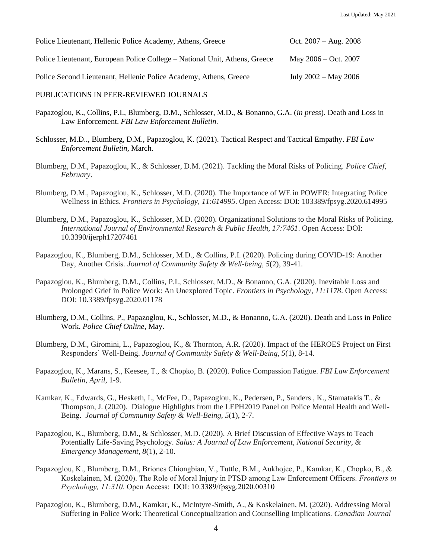| Police Lieutenant, Hellenic Police Academy, Athens, Greece                 | Oct. $2007 - Aug. 2008$ |
|----------------------------------------------------------------------------|-------------------------|
| Police Lieutenant, European Police College – National Unit, Athens, Greece | May $2006 - Oct. 2007$  |
| Police Second Lieutenant, Hellenic Police Academy, Athens, Greece          | July $2002 - May 2006$  |

#### PUBLICATIONS IN PEER-REVIEWED JOURNALS

- Papazoglou, K., Collins, P.I., Blumberg, D.M., Schlosser, M.D., & Bonanno, G.A. (*in press*). Death and Loss in Law Enforcement. *FBI Law Enforcement Bulletin*.
- Schlosser, M.D.., Blumberg, D.M., Papazoglou, K. (2021). Tactical Respect and Tactical Empathy. *FBI Law Enforcement Bulletin,* March.
- Blumberg, D.M., Papazoglou, K., & Schlosser, D.M. (2021). Tackling the Moral Risks of Policing. *Police Chief*, *February*.
- Blumberg, D.M., Papazoglou, K., Schlosser, M.D. (2020). The Importance of WE in POWER: Integrating Police Wellness in Ethics. *Frontiers in Psychology, 11:614995*. Open Access: DOI: 103389/fpsyg.2020.614995
- Blumberg, D.M., Papazoglou, K., Schlosser, M.D. (2020). Organizational Solutions to the Moral Risks of Policing. *International Journal of Environmental Research & Public Health, 17:7461*. Open Access: DOI: 10.3390/ijerph17207461
- Papazoglou, K., Blumberg, D.M., Schlosser, M.D., & Collins, P.I. (2020). Policing during COVID-19: Another Day, Another Crisis. *Journal of Community Safety & Well-being, 5*(2), 39-41.
- Papazoglou, K., Blumberg, D.M., Collins, P.I., Schlosser, M.D., & Bonanno, G.A. (2020). Inevitable Loss and Prolonged Grief in Police Work: An Unexplored Topic. *Frontiers in Psychology, 11:1178*. Open Access: DOI: 10.3389/fpsyg.2020.01178
- Blumberg, D.M., Collins, P., Papazoglou, K., Schlosser, M.D., & Bonanno, G.A. (2020). Death and Loss in Police Work. *Police Chief Online*, May.
- Blumberg, D.M., Giromini, L., Papazoglou, K., & Thornton, A.R. (2020). Impact of the HEROES Project on First Responders' Well-Being. *Journal of Community Safety & Well-Being, 5*(1), 8-14.
- Papazoglou, K., Marans, S., Keesee, T., & Chopko, B. (2020). Police Compassion Fatigue. *FBI Law Enforcement Bulletin, April,* 1-9.
- Kamkar, K., Edwards, G., Hesketh, I., McFee, D., Papazoglou, K., Pedersen, P., Sanders , K., Stamatakis T., & Thompson, J. (2020). Dialogue Highlights from the LEPH2019 Panel on Police Mental Health and Well-Being. *Journal of Community Safety & Well-Being, 5*(1), 2-7.
- Papazoglou, K., Blumberg, D.M., & Schlosser, M.D. (2020). A Brief Discussion of Effective Ways to Teach Potentially Life-Saving Psychology. *Salus: A Journal of Law Enforcement, National Security, & Emergency Management, 8*(1), 2-10.
- Papazoglou, K., Blumberg, D.M., Briones Chiongbian, V., Tuttle, B.M., Aukhojee, P., Kamkar, K., Chopko, B., & Koskelainen, M. (2020). The Role of Moral Injury in PTSD among Law Enforcement Officers. *Frontiers in Psychology, 11:310*. Open Access: DOI: 10.3389/fpsyg.2020.00310
- Papazoglou, K., Blumberg, D.M., Kamkar, K., McIntyre-Smith, A., & Koskelainen, M. (2020). Addressing Moral Suffering in Police Work: Theoretical Conceptualization and Counselling Implications. *Canadian Journal*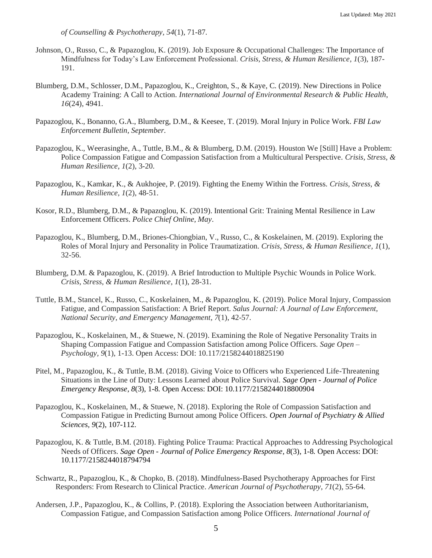*of Counselling & Psychotherapy, 54*(1), 71-87*.* 

- Johnson, O., Russo, C., & Papazoglou, K. (2019). Job Exposure & Occupational Challenges: The Importance of Mindfulness for Today's Law Enforcement Professional. *Crisis, Stress, & Human Resilience, 1*(3), 187- 191.
- Blumberg, D.M., Schlosser, D.M., Papazoglou, K., Creighton, S., & Kaye, C. (2019). New Directions in Police Academy Training: A Call to Action. *International Journal of Environmental Research & Public Health*, *16*(24), 4941.
- Papazoglou, K., Bonanno, G.A., Blumberg, D.M., & Keesee, T. (2019). Moral Injury in Police Work. *FBI Law Enforcement Bulletin, September.*
- Papazoglou, K., Weerasinghe, A., Tuttle, B.M., & & Blumberg, D.M. (2019). Houston We [Still] Have a Problem: Police Compassion Fatigue and Compassion Satisfaction from a Multicultural Perspective. *Crisis, Stress, & Human Resilience, 1*(2), 3-20.
- Papazoglou, K., Kamkar, K., & Aukhojee, P. (2019). Fighting the Enemy Within the Fortress. *Crisis, Stress, & Human Resilience, 1*(2), 48-51.
- Kosor, R.D., Blumberg, D.M., & Papazoglou, K. (2019). Intentional Grit: Training Mental Resilience in Law Enforcement Officers. *Police Chief Online, May*.
- Papazoglou, K., Blumberg, D.M., Briones-Chiongbian, V., Russo, C., & Koskelainen, M. (2019). Exploring the Roles of Moral Injury and Personality in Police Traumatization. *Crisis, Stress, & Human Resilience, 1*(1), 32-56.
- Blumberg, D.M. & Papazoglou, K. (2019). A Brief Introduction to Multiple Psychic Wounds in Police Work. *Crisis, Stress, & Human Resilience, 1*(1), 28-31.
- Tuttle, B.M., Stancel, K., Russo, C., Koskelainen, M., & Papazoglou, K. (2019). Police Moral Injury, Compassion Fatigue, and Compassion Satisfaction: A Brief Report. *Salus Journal: A Journal of Law Enforcement, National Security, and Emergency Management, 7*(1), 42-57.
- Papazoglou, K., Koskelainen, M., & Stuewe, N. (2019). Examining the Role of Negative Personality Traits in Shaping Compassion Fatigue and Compassion Satisfaction among Police Officers. *Sage Open – Psychology, 9*(1), 1-13. Open Access: DOI: 10.117/2158244018825190
- Pitel, M., Papazoglou, K., & Tuttle, B.M. (2018). Giving Voice to Officers who Experienced Life-Threatening Situations in the Line of Duty: Lessons Learned about Police Survival. *Sage Open - Journal of Police Emergency Response, 8*(3), 1-8*.* Open Access: DOI: 10.1177/2158244018800904
- Papazoglou, K., Koskelainen, M., & Stuewe, N. (2018). Exploring the Role of Compassion Satisfaction and Compassion Fatigue in Predicting Burnout among Police Officers. *Open Journal of Psychiatry & Allied Sciences, 9*(2), 107-112.
- Papazoglou, K. & Tuttle, B.M. (2018). Fighting Police Trauma: Practical Approaches to Addressing Psychological Needs of Officers. *Sage Open - Journal of Police Emergency Response, 8*(3), 1-8*.* Open Access: DOI: 10.1177/2158244018794794
- Schwartz, R., Papazoglou, K., & Chopko, B. (2018). Mindfulness-Based Psychotherapy Approaches for First Responders: From Research to Clinical Practice. *American Journal of Psychotherapy, 71*(2), 55-64.
- Andersen, J.P., Papazoglou, K., & Collins, P. (2018). Exploring the Association between Authoritarianism, Compassion Fatigue, and Compassion Satisfaction among Police Officers. *International Journal of*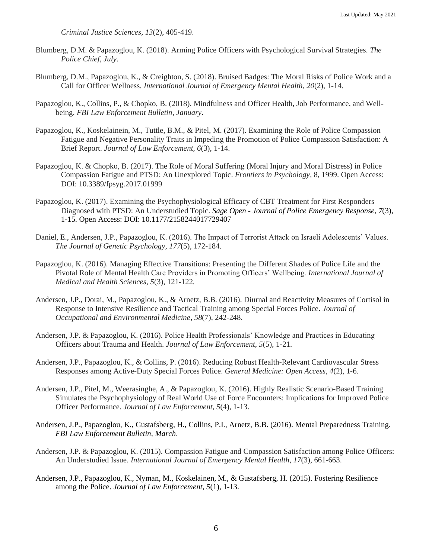*Criminal Justice Sciences, 13*(2), 405-419.

- Blumberg, D.M. & Papazoglou, K. (2018). Arming Police Officers with Psychological Survival Strategies. *The Police Chief, July*.
- Blumberg, D.M., Papazoglou, K., & Creighton, S. (2018). Bruised Badges: The Moral Risks of Police Work and a Call for Officer Wellness. *International Journal of Emergency Mental Health, 20*(2), 1-14.
- Papazoglou, K., Collins, P., & Chopko, B. (2018). Mindfulness and Officer Health, Job Performance, and Wellbeing. *FBI Law Enforcement Bulletin, January*.
- Papazoglou, K., Koskelainein, M., Tuttle, B.M., & Pitel, M. (2017). Examining the Role of Police Compassion Fatigue and Negative Personality Traits in Impeding the Promotion of Police Compassion Satisfaction: A Brief Report. *Journal of Law Enforcement, 6*(3), 1-14.
- Papazoglou, K. & Chopko, B. (2017). The Role of Moral Suffering (Moral Injury and Moral Distress) in Police Compassion Fatigue and PTSD: An Unexplored Topic. *Frontiers in Psychology,* 8, 1999. Open Access: DOI: 10.3389/fpsyg.2017.01999
- Papazoglou, K. (2017). Examining the Psychophysiological Efficacy of CBT Treatment for First Responders Diagnosed with PTSD: An Understudied Topic. *Sage Open - Journal of Police Emergency Response, 7*(3), 1-15*.* Open Access: DOI: 10.1177/2158244017729407
- Daniel, E., Andersen, J.P., Papazoglou, K. (2016). The Impact of Terrorist Attack on Israeli Adolescents' Values. *The Journal of Genetic Psychology, 177*(5), 172-184.
- Papazoglou, K. (2016). Managing Effective Transitions: Presenting the Different Shades of Police Life and the Pivotal Role of Mental Health Care Providers in Promoting Officers' Wellbeing. *International Journal of Medical and Health Sciences, 5*(3), 121-122*.*
- Andersen, J.P., Dorai, M., Papazoglou, K., & Arnetz, B.B. (2016). Diurnal and Reactivity Measures of Cortisol in Response to Intensive Resilience and Tactical Training among Special Forces Police. *Journal of Occupational and Environmental Medicine, 58*(7), 242-248.
- Andersen, J.P. & Papazoglou, K. (2016). Police Health Professionals' Knowledge and Practices in Educating Officers about Trauma and Health. *Journal of Law Enforcement, 5*(5), 1-21.
- Andersen, J.P., Papazoglou, K., & Collins, P. (2016). Reducing Robust Health-Relevant Cardiovascular Stress Responses among Active-Duty Special Forces Police. *General Medicine: Open Access, 4*(2), 1-6.
- Andersen, J.P., Pitel, M., Weerasinghe, A., & Papazoglou, K. (2016). Highly Realistic Scenario-Based Training Simulates the Psychophysiology of Real World Use of Force Encounters: Implications for Improved Police Officer Performance. *Journal of Law Enforcement, 5*(4), 1-13.
- Andersen, J.P., Papazoglou, K., Gustafsberg, H., Collins, P.I., Arnetz, B.B. (2016). Mental Preparedness Training. *FBI Law Enforcement Bulletin, March*.
- Andersen, J.P. & Papazoglou, K. (2015). Compassion Fatigue and Compassion Satisfaction among Police Officers: An Understudied Issue. *International Journal of Emergency Mental Health, 17*(3), 661-663.
- Andersen, J.P., Papazoglou, K., Nyman, M., Koskelainen, M., & Gustafsberg, H. (2015). Fostering Resilience among the Police. *Journal of Law Enforcement, 5*(1), 1-13.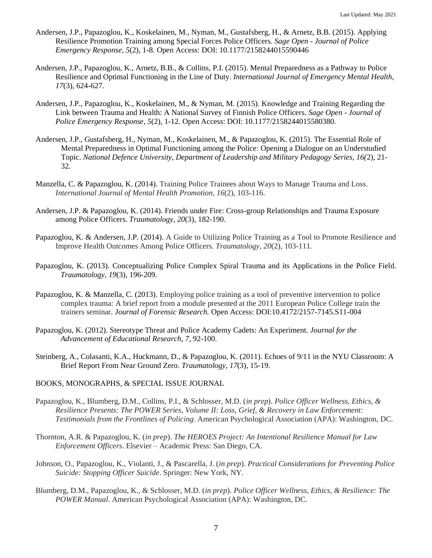- Andersen, J.P., Papazoglou, K., Koskelainen, M., Nyman, M., Gustafsberg, H., & Arnetz, B.B. (2015). Applying Resilience Promotion Training among Special Forces Police Officers. *Sage Open - Journal of Police Emergency Response, 5*(2), 1-8*.* Open Access: DOI: 10.1177/2158244015590446
- Andersen, J.P., Papazoglou, K., Arnetz, B.B., & Collins, P.I. (2015). Mental Preparedness as a Pathway to Police Resilience and Optimal Functioning in the Line of Duty. *International Journal of Emergency Mental Health, 17*(3), 624-627.
- Andersen, J.P., Papazoglou, K., Koskelainen, M., & Nyman, M. (2015). Knowledge and Training Regarding the Link between Trauma and Health: A National Survey of Finnish Police Officers. *Sage Open - Journal of Police Emergency Response, 5*(2), 1-12*.* Open Access: DOI: 10.1177/2158244015580380*.*
- Andersen, J.P., Gustafsberg, H., Nyman, M., Koskelainen, M., & Papazoglou, K. (2015). The Essential Role of Mental Preparedness in Optimal Functioning among the Police: Opening a Dialogue on an Understudied Topic. *National Defence University, Department of Leadership and Military Pedagogy Series, 16(*2), 21- 32.
- Manzella, C. & Papazoglou, K. (2014). Training Police Trainees about Ways to Manage Trauma and Loss. *International Journal of Mental Health Promotion, 16*(2)*,* 103-116.
- Andersen, J.P. & Papazoglou, K. (2014). Friends under Fire: Cross-group Relationships and Trauma Exposure among Police Officers. *Traumatology, 20*(3), 182-190.
- Papazoglou, K. & Andersen, J.P. (2014). A Guide to Utilizing Police Training as a Tool to Promote Resilience and Improve Health Outcomes Among Police Officers. *Traumatology, 20*(2), 103-111*.*
- Papazoglou, K. (2013). Conceptualizing Police Complex Spiral Trauma and its Applications in the Police Field. *Traumatology, 19*(3), 196-209.
- Papazoglou, K. & Manzella, C. (2013). Employing police training as a tool of preventive intervention to police complex trauma: A brief report from a module presented at the 2011 European Police College train the trainers seminar. *Journal of Forensic Research.* Open Access: DOI:10.4172/2157-7145.S11-004
- Papazoglou, K. (2012). Stereotype Threat and Police Academy Cadets: An Experiment. *Journal for the Advancement of Educational Research, 7*, 92-100.
- Steinberg, A., Colasanti, K.A., Huckmann, D., & Papazoglou, K. (2011). Echoes of 9/11 in the NYU Classroom: A Brief Report From Near Ground Zero. *Traumatology, 17*(3), 15-19.
- BOOKS, MONOGRAPHS, & SPECIAL ISSUE JOURNAL
- Papazoglou, K., Blumberg, D.M., Collins, P.I., & Schlosser, M.D. (*in prep*). *Police Officer Wellness, Ethics, & Resilience Presents: The POWER Series, Volume II: Loss, Grief, & Recovery in Law Enforcement: Testimonials from the Frontlines of Policing*. American Psychological Association (APA): Washington, DC.
- Thornton, A.R. & Papazoglou, K. (*in prep*). *The HEROES Project: An Intentional Resilience Manual for Law Enforcement Officers*. Elsevier – Academic Press: San Diego, CA.
- Johnson, O., Papazoglou, K., Violanti, J., & Pascarella, J. (*in prep*). *Practical Considerations for Preventing Police Suicide: Stopping Officer Suicide*. Springer: New York, NY.
- Blumberg, D.M., Papazoglou, K., & Schlosser, M.D. (*in prep*). *Police Officer Wellness, Ethics, & Resilience: The POWER Manual*. American Psychological Association (APA): Washington, DC.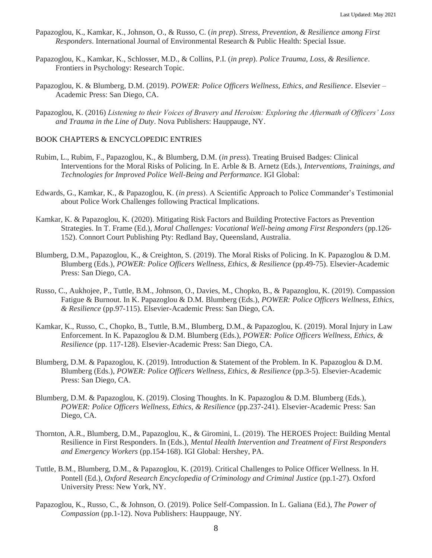- Papazoglou, K., Kamkar, K., Johnson, O., & Russo, C. (*in prep*). *Stress, Prevention, & Resilience among First Responders*. International Journal of Environmental Research & Public Health: Special Issue.
- Papazoglou, K., Kamkar, K., Schlosser, M.D., & Collins, P.I. (*in prep*). *Police Trauma, Loss, & Resilience*. Frontiers in Psychology: Research Topic.
- Papazoglou, K. & Blumberg, D.M. (2019). *POWER: Police Officers Wellness, Ethics, and Resilience*. Elsevier Academic Press: San Diego, CA.
- Papazoglou, K. (2016) *Listening to their Voices of Bravery and Heroism: Exploring the Aftermath of Officers' Loss and Trauma in the Line of Duty*. Nova Publishers: Hauppauge, NY.

# BOOK CHAPTERS & ENCYCLOPEDIC ENTRIES

- Rubim, L., Rubim, F., Papazoglou, K., & Blumberg, D.M. (*in press*). Treating Bruised Badges: Clinical Interventions for the Moral Risks of Policing. In E. Arble & B. Arnetz (Eds.), *Interventions, Trainings, and Technologies for Improved Police Well-Being and Performance*. IGI Global:
- Edwards, G., Kamkar, K., & Papazoglou, K. (*in press*). A Scientific Approach to Police Commander's Testimonial about Police Work Challenges following Practical Implications.
- Kamkar, K. & Papazoglou, K. (2020). Mitigating Risk Factors and Building Protective Factors as Prevention Strategies. In T. Frame (Ed.), *Moral Challenges: Vocational Well-being among First Responders* (pp.126- 152). Connort Court Publishing Pty: Redland Bay, Queensland, Australia.
- Blumberg, D.M., Papazoglou, K., & Creighton, S. (2019). The Moral Risks of Policing. In K. Papazoglou & D.M. Blumberg (Eds.), *POWER: Police Officers Wellness, Ethics, & Resilience* (pp.49-75). Elsevier-Academic Press: San Diego, CA.
- Russo, C., Aukhojee, P., Tuttle, B.M., Johnson, O., Davies, M., Chopko, B., & Papazoglou, K. (2019). Compassion Fatigue & Burnout. In K. Papazoglou & D.M. Blumberg (Eds.), *POWER: Police Officers Wellness, Ethics, & Resilience* (pp.97-115). Elsevier-Academic Press: San Diego, CA.
- Kamkar, K., Russo, C., Chopko, B., Tuttle, B.M., Blumberg, D.M., & Papazoglou, K. (2019). Moral Injury in Law Enforcement. In K. Papazoglou & D.M. Blumberg (Eds.), *POWER: Police Officers Wellness, Ethics, & Resilience* (pp. 117-128). Elsevier-Academic Press: San Diego, CA.
- Blumberg, D.M. & Papazoglou, K. (2019). Introduction & Statement of the Problem. In K. Papazoglou & D.M. Blumberg (Eds.), *POWER: Police Officers Wellness, Ethics, & Resilience* (pp.3-5). Elsevier-Academic Press: San Diego, CA.
- Blumberg, D.M. & Papazoglou, K. (2019). Closing Thoughts. In K. Papazoglou & D.M. Blumberg (Eds.), *POWER: Police Officers Wellness, Ethics, & Resilience* (pp.237-241). Elsevier-Academic Press: San Diego, CA.
- Thornton, A.R., Blumberg, D.M., Papazoglou, K., & Giromini, L. (2019). The HEROES Project: Building Mental Resilience in First Responders. In (Eds.), *Mental Health Intervention and Treatment of First Responders and Emergency Workers* (pp.154-168). IGI Global: Hershey, PA.
- Tuttle, B.M., Blumberg, D.M., & Papazoglou, K. (2019). Critical Challenges to Police Officer Wellness. In H. Pontell (Ed.), *Oxford Research Encyclopedia of Criminology and Criminal Justice* (pp.1-27)*.* Oxford University Press: New York, NY.
- Papazoglou, K., Russo, C., & Johnson, O. (2019). Police Self-Compassion. In L. Galiana (Ed.), *The Power of Compassion* (pp.1-12). Nova Publishers: Hauppauge, NY.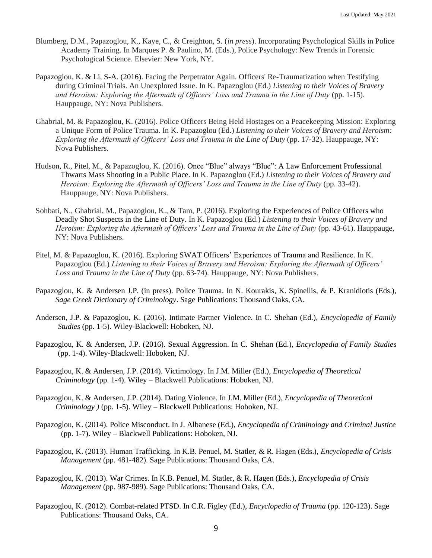- Blumberg, D.M., Papazoglou, K., Kaye, C., & Creighton, S. (*in press*). Incorporating Psychological Skills in Police Academy Training. In Marques P. & Paulino, M. (Eds.), Police Psychology: New Trends in Forensic Psychological Science. Elsevier: New York, NY.
- Papazoglou, K. & Li, S-A. (2016). Facing the Perpetrator Again. Officers' Re-Traumatization when Testifying during Criminal Trials. An Unexplored Issue. In K. Papazoglou (Ed.) *Listening to their Voices of Bravery and Heroism: Exploring the Aftermath of Officers' Loss and Trauma in the Line of Duty* (pp. 1-15). Hauppauge, NY: Nova Publishers.
- Ghabrial, M. & Papazoglou, K. (2016). Police Officers Being Held Hostages on a Peacekeeping Mission: Exploring a Unique Form of Police Trauma. In K. Papazoglou (Ed.) *Listening to their Voices of Bravery and Heroism: Exploring the Aftermath of Officers' Loss and Trauma in the Line of Duty* (pp. 17-32). Hauppauge, NY: Nova Publishers.
- Hudson, R., Pitel, M., & Papazoglou, K. (2016). Once "Blue" always "Blue": A Law Enforcement Professional Thwarts Mass Shooting in a Public Place. In K. Papazoglou (Ed.) *Listening to their Voices of Bravery and Heroism: Exploring the Aftermath of Officers' Loss and Trauma in the Line of Duty* (pp. 33-42). Hauppauge, NY: Nova Publishers.
- Sohbati, N., Ghabrial, M., Papazoglou, K., & Tam, P. (2016). Exploring the Experiences of Police Officers who Deadly Shot Suspects in the Line of Duty. In K. Papazoglou (Ed.) *Listening to their Voices of Bravery and Heroism: Exploring the Aftermath of Officers' Loss and Trauma in the Line of Duty* (pp. 43-61). Hauppauge, NY: Nova Publishers.
- Pitel, M. & Papazoglou, K. (2016). Exploring SWAT Officers' Experiences of Trauma and Resilience. In K. Papazoglou (Ed.) *Listening to their Voices of Bravery and Heroism: Exploring the Aftermath of Officers' Loss and Trauma in the Line of Duty* (pp. 63-74). Hauppauge, NY: Nova Publishers.
- Papazoglou, K. & Andersen J.P. (in press). Police Trauma. In N. Kourakis, K. Spinellis, & P. Kranidiotis (Eds.), *Sage Greek Dictionary of Criminology*. Sage Publications: Thousand Oaks, CA.
- Andersen, J.P. & Papazoglou, K. (2016). Intimate Partner Violence. In C. Shehan (Ed.), *Encyclopedia of Family Studies* (pp. 1-5). Wiley-Blackwell: Hoboken, NJ.
- Papazoglou, K. & Andersen, J.P. (2016). Sexual Aggression. In C. Shehan (Ed.), *Encyclopedia of Family Studie*s (pp. 1-4). Wiley-Blackwell: Hoboken, NJ.
- Papazoglou, K. & Andersen, J.P. (2014). Victimology. In J.M. Miller (Ed.), *Encyclopedia of Theoretical Criminology* (pp. 1-4). Wiley – Blackwell Publications: Hoboken, NJ.
- Papazoglou, K. & Andersen, J.P. (2014). Dating Violence. In J.M. Miller (Ed.), *Encyclopedia of Theoretical Criminology )* (pp. 1-5). Wiley – Blackwell Publications: Hoboken, NJ.
- Papazoglou, K. (2014). Police Misconduct. In J. Albanese (Ed.), *Encyclopedia of Criminology and Criminal Justice* (pp. 1-7). Wiley – Blackwell Publications: Hoboken, NJ.
- Papazoglou, K. (2013). Human Trafficking. In K.B. Penuel, M. Statler, & R. Hagen (Eds.), *Encyclopedia of Crisis Management* (pp. 481-482). Sage Publications: Thousand Oaks, CA.
- Papazoglou, K. (2013). War Crimes. In K.B. Penuel, M. Statler, & R. Hagen (Eds.), *Encyclopedia of Crisis Management* (pp. 987-989). Sage Publications: Thousand Oaks, CA.
- Papazoglou, K. (2012). Combat-related PTSD. In C.R. Figley (Ed.), *Encyclopedia of Trauma* (pp. 120-123). Sage Publications: Thousand Oaks, CA.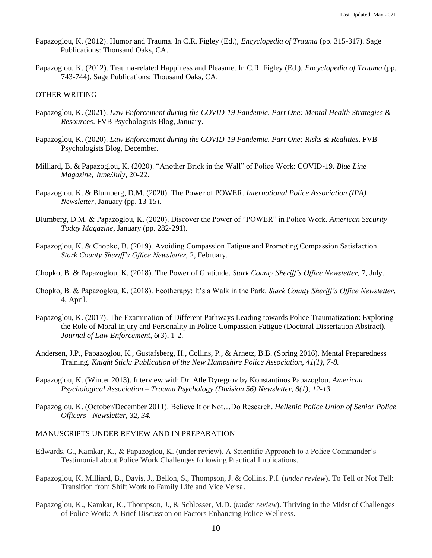- Papazoglou, K. (2012). Humor and Trauma. In C.R. Figley (Ed.), *Encyclopedia of Trauma* (pp. 315-317). Sage Publications: Thousand Oaks, CA.
- Papazoglou, K. (2012). Trauma-related Happiness and Pleasure. In C.R. Figley (Ed.), *Encyclopedia of Trauma* (pp. 743-744). Sage Publications: Thousand Oaks, CA.

## OTHER WRITING

- Papazoglou, K. (2021). *Law Enforcement during the COVID-19 Pandemic. Part One: Mental Health Strategies & Resources*. FVB Psychologists Blog, January.
- Papazoglou, K. (2020). *Law Enforcement during the COVID-19 Pandemic. Part One: Risks & Realities*. FVB Psychologists Blog, December.
- Milliard, B. & Papazoglou, K. (2020). "Another Brick in the Wall" of Police Work: COVID-19. *Blue Line Magazine, June/July*, 20-22.
- Papazoglou, K. & Blumberg, D.M. (2020). The Power of POWER. *International Police Association (IPA) Newsletter*, January (pp. 13-15).
- Blumberg, D.M. & Papazoglou, K. (2020). Discover the Power of "POWER" in Police Work. *American Security Today Magazine*, January (pp. 282-291).
- Papazoglou, K. & Chopko, B. (2019). Avoiding Compassion Fatigue and Promoting Compassion Satisfaction. *Stark County Sheriff's Office Newsletter,* 2, February.
- Chopko, B. & Papazoglou, K. (2018). The Power of Gratitude. *Stark County Sheriff's Office Newsletter,* 7, July.
- Chopko, B. & Papazoglou, K. (2018). Ecotherapy: It's a Walk in the Park. *Stark County Sheriff's Office Newsletter*, 4, April.
- Papazoglou, K. (2017). The Examination of Different Pathways Leading towards Police Traumatization: Exploring the Role of Moral Injury and Personality in Police Compassion Fatigue (Doctoral Dissertation Abstract). *Journal of Law Enforcement, 6*(3), 1-2.
- Andersen, J.P., Papazoglou, K., Gustafsberg, H., Collins, P., & Arnetz, B.B. (Spring 2016). Mental Preparedness Training. *Knight Stick: Publication of the New Hampshire Police Association, 41(1), 7-8.*
- Papazoglou, K. (Winter 2013). Interview with Dr. Atle Dyregrov by Konstantinos Papazoglou. *American Psychological Association – Trauma Psychology (Division 56) Newsletter, 8(1), 12-13.*
- Papazoglou, K. (October/December 2011). Believe It or Not…Do Research. *Hellenic Police Union of Senior Police Officers - Newsletter, 32, 34.*

### MANUSCRIPTS UNDER REVIEW AND IN PREPARATION

- Edwards, G., Kamkar, K., & Papazoglou, K. (under review). A Scientific Approach to a Police Commander's Testimonial about Police Work Challenges following Practical Implications.
- Papazoglou, K. Milliard, B., Davis, J., Bellon, S., Thompson, J. & Collins, P.I. (*under review*). To Tell or Not Tell: Transition from Shift Work to Family Life and Vice Versa.
- Papazoglou, K., Kamkar, K., Thompson, J., & Schlosser, M.D. (*under review*). Thriving in the Midst of Challenges of Police Work: A Brief Discussion on Factors Enhancing Police Wellness.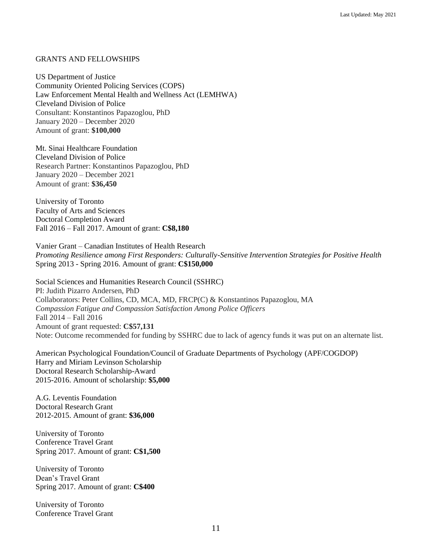### GRANTS AND FELLOWSHIPS

US Department of Justice Community Oriented Policing Services (COPS) Law Enforcement Mental Health and Wellness Act (LEMHWA) Cleveland Division of Police Consultant: Konstantinos Papazoglou, PhD January 2020 – December 2020 Amount of grant: **\$100,000**

Mt. Sinai Healthcare Foundation Cleveland Division of Police Research Partner: Konstantinos Papazoglou, PhD January 2020 – December 2021 Amount of grant: **\$36,450**

University of Toronto Faculty of Arts and Sciences Doctoral Completion Award Fall 2016 – Fall 2017. Amount of grant: **C\$8,180**

Vanier Grant – Canadian Institutes of Health Research *Promoting Resilience among First Responders: Culturally-Sensitive Intervention Strategies for Positive Health*  Spring 2013 - Spring 2016. Amount of grant: **C\$150,000**

Social Sciences and Humanities Research Council (SSHRC) PI: Judith Pizarro Andersen, PhD Collaborators: Peter Collins, CD, MCA, MD, FRCP(C) & Konstantinos Papazoglou, MA *Compassion Fatigue and Compassion Satisfaction Among Police Officers* Fall 2014 – Fall 2016 Amount of grant requested: **C\$57,131** Note: Outcome recommended for funding by SSHRC due to lack of agency funds it was put on an alternate list.

American Psychological Foundation/Council of Graduate Departments of Psychology (APF/COGDOP) Harry and Miriam Levinson Scholarship Doctoral Research Scholarship-Award 2015-2016. Amount of scholarship: **\$5,000**

A.G. Leventis Foundation Doctoral Research Grant 2012-2015. Amount of grant: **\$36,000**

University of Toronto Conference Travel Grant Spring 2017. Amount of grant: **C\$1,500**

University of Toronto Dean's Travel Grant Spring 2017. Amount of grant: **C\$400**

University of Toronto Conference Travel Grant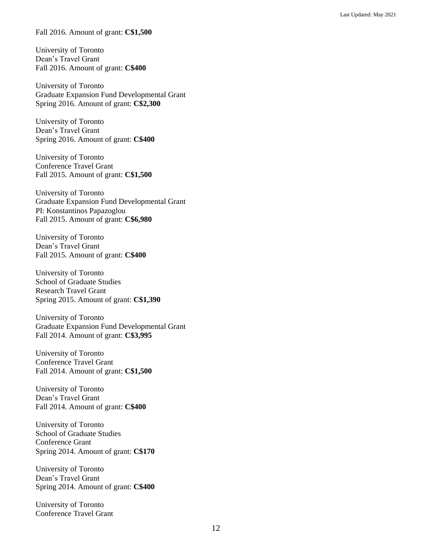Fall 2016. Amount of grant: **C\$1,500**

University of Toronto Dean's Travel Grant Fall 2016. Amount of grant: **C\$400**

University of Toronto Graduate Expansion Fund Developmental Grant Spring 2016. Amount of grant: **C\$2,300**

University of Toronto Dean's Travel Grant Spring 2016. Amount of grant: **C\$400**

University of Toronto Conference Travel Grant Fall 2015. Amount of grant: **C\$1,500**

University of Toronto Graduate Expansion Fund Developmental Grant PI: Konstantinos Papazoglou Fall 2015. Amount of grant: **C\$6,980**

University of Toronto Dean's Travel Grant Fall 2015. Amount of grant: **C\$400**

University of Toronto School of Graduate Studies Research Travel Grant Spring 2015. Amount of grant: **C\$1,390**

University of Toronto Graduate Expansion Fund Developmental Grant Fall 2014. Amount of grant: **C\$3,995**

University of Toronto Conference Travel Grant Fall 2014. Amount of grant: **C\$1,500**

University of Toronto Dean's Travel Grant Fall 2014. Amount of grant: **C\$400**

University of Toronto School of Graduate Studies Conference Grant Spring 2014. Amount of grant: **C\$170**

University of Toronto Dean's Travel Grant Spring 2014. Amount of grant: **C\$400**

University of Toronto Conference Travel Grant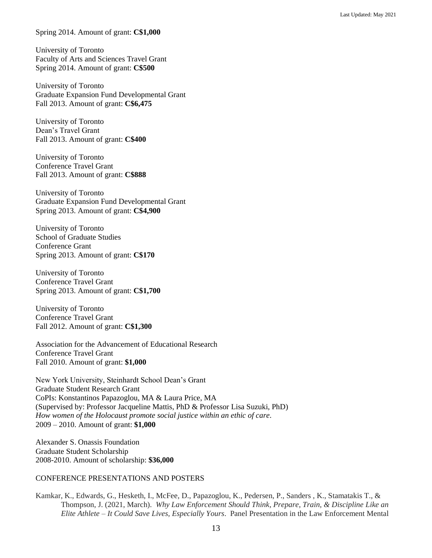Spring 2014. Amount of grant: **C\$1,000**

University of Toronto Faculty of Arts and Sciences Travel Grant Spring 2014. Amount of grant: **C\$500**

University of Toronto Graduate Expansion Fund Developmental Grant Fall 2013. Amount of grant: **C\$6,475**

University of Toronto Dean's Travel Grant Fall 2013. Amount of grant: **C\$400**

University of Toronto Conference Travel Grant Fall 2013. Amount of grant: **C\$888**

University of Toronto Graduate Expansion Fund Developmental Grant Spring 2013. Amount of grant: **C\$4,900**

University of Toronto School of Graduate Studies Conference Grant Spring 2013. Amount of grant: **C\$170**

University of Toronto Conference Travel Grant Spring 2013. Amount of grant: **C\$1,700**

University of Toronto Conference Travel Grant Fall 2012. Amount of grant: **C\$1,300** 

Association for the Advancement of Educational Research Conference Travel Grant Fall 2010. Amount of grant: **\$1,000**

New York University, Steinhardt School Dean's Grant Graduate Student Research Grant CoPIs: Konstantinos Papazoglou, MA & Laura Price, MA (Supervised by: Professor Jacqueline Mattis, PhD & Professor Lisa Suzuki, PhD) *How women of the Holocaust promote social justice within an ethic of care.*  2009 – 2010. Amount of grant: **\$1,000**

Alexander S. Onassis Foundation Graduate Student Scholarship 2008-2010. Amount of scholarship: **\$36,000**

# CONFERENCE PRESENTATIONS AND POSTERS

Kamkar, K., Edwards, G., Hesketh, I., McFee, D., Papazoglou, K., Pedersen, P., Sanders , K., Stamatakis T., & Thompson, J. (2021, March). *Why Law Enforcement Should Think, Prepare, Train, & Discipline Like an Elite Athlete – It Could Save Lives, Especially Yours*. Panel Presentation in the Law Enforcement Mental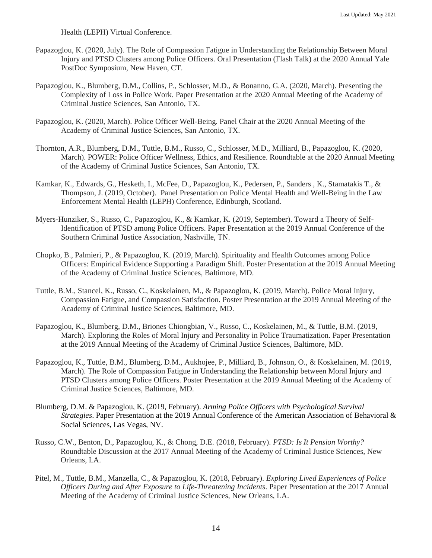Health (LEPH) Virtual Conference.

- Papazoglou, K. (2020, July). The Role of Compassion Fatigue in Understanding the Relationship Between Moral Injury and PTSD Clusters among Police Officers. Oral Presentation (Flash Talk) at the 2020 Annual Yale PostDoc Symposium, New Haven, CT.
- Papazoglou, K., Blumberg, D.M., Collins, P., Schlosser, M.D., & Bonanno, G.A. (2020, March). Presenting the Complexity of Loss in Police Work. Paper Presentation at the 2020 Annual Meeting of the Academy of Criminal Justice Sciences, San Antonio, TX.
- Papazoglou, K. (2020, March). Police Officer Well-Being. Panel Chair at the 2020 Annual Meeting of the Academy of Criminal Justice Sciences, San Antonio, TX.
- Thornton, A.R., Blumberg, D.M., Tuttle, B.M., Russo, C., Schlosser, M.D., Milliard, B., Papazoglou, K. (2020, March). POWER: Police Officer Wellness, Ethics, and Resilience. Roundtable at the 2020 Annual Meeting of the Academy of Criminal Justice Sciences, San Antonio, TX.
- Kamkar, K., Edwards, G., Hesketh, I., McFee, D., Papazoglou, K., Pedersen, P., Sanders , K., Stamatakis T., & Thompson, J. (2019, October). Panel Presentation on Police Mental Health and Well-Being in the Law Enforcement Mental Health (LEPH) Conference, Edinburgh, Scotland.
- Myers-Hunziker, S., Russo, C., Papazoglou, K., & Kamkar, K. (2019, September). Toward a Theory of Self-Identification of PTSD among Police Officers. Paper Presentation at the 2019 Annual Conference of the Southern Criminal Justice Association, Nashville, TN.
- Chopko, B., Palmieri, P., & Papazoglou, K. (2019, March). Spirituality and Health Outcomes among Police Officers: Empirical Evidence Supporting a Paradigm Shift. Poster Presentation at the 2019 Annual Meeting of the Academy of Criminal Justice Sciences, Baltimore, MD.
- Tuttle, B.M., Stancel, K., Russo, C., Koskelainen, M., & Papazoglou, K. (2019, March). Police Moral Injury, Compassion Fatigue, and Compassion Satisfaction. Poster Presentation at the 2019 Annual Meeting of the Academy of Criminal Justice Sciences, Baltimore, MD.
- Papazoglou, K., Blumberg, D.M., Briones Chiongbian, V., Russo, C., Koskelainen, M., & Tuttle, B.M. (2019, March). Exploring the Roles of Moral Injury and Personality in Police Traumatization. Paper Presentation at the 2019 Annual Meeting of the Academy of Criminal Justice Sciences, Baltimore, MD.
- Papazoglou, K., Tuttle, B.M., Blumberg, D.M., Aukhojee, P., Milliard, B., Johnson, O., & Koskelainen, M. (2019, March). The Role of Compassion Fatigue in Understanding the Relationship between Moral Injury and PTSD Clusters among Police Officers. Poster Presentation at the 2019 Annual Meeting of the Academy of Criminal Justice Sciences, Baltimore, MD.
- Blumberg, D.M. & Papazoglou, K. (2019, February). *Arming Police Officers with Psychological Survival Strategies*. Paper Presentation at the 2019 Annual Conference of the American Association of Behavioral & Social Sciences, Las Vegas, NV.
- Russo, C.W., Benton, D., Papazoglou, K., & Chong, D.E. (2018, February). *PTSD: Is It Pension Worthy?* Roundtable Discussion at the 2017 Annual Meeting of the Academy of Criminal Justice Sciences, New Orleans, LA.
- Pitel, M., Tuttle, B.M., Manzella, C., & Papazoglou, K. (2018, February). *Exploring Lived Experiences of Police Officers During and After Exposure to Life-Threatening Incidents*. Paper Presentation at the 2017 Annual Meeting of the Academy of Criminal Justice Sciences, New Orleans, LA.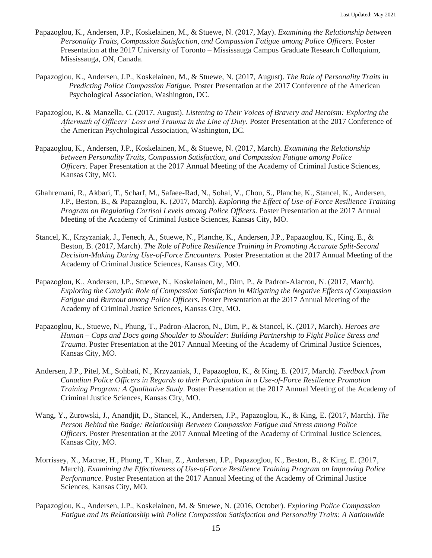- Papazoglou, K., Andersen, J.P., Koskelainen, M., & Stuewe, N. (2017, May). *Examining the Relationship between Personality Traits, Compassion Satisfaction, and Compassion Fatigue among Police Officers.* Poster Presentation at the 2017 University of Toronto – Mississauga Campus Graduate Research Colloquium, Mississauga, ON, Canada.
- Papazoglou, K., Andersen, J.P., Koskelainen, M., & Stuewe, N. (2017, August). *The Role of Personality Traits in Predicting Police Compassion Fatigue.* Poster Presentation at the 2017 Conference of the American Psychological Association, Washington, DC.
- Papazoglou, K. & Manzella, C. (2017, August). *Listening to Their Voices of Bravery and Heroism: Exploring the Aftermath of Officers' Loss and Trauma in the Line of Duty.* Poster Presentation at the 2017 Conference of the American Psychological Association, Washington, DC.
- Papazoglou, K., Andersen, J.P., Koskelainen, M., & Stuewe, N. (2017, March). *Examining the Relationship between Personality Traits, Compassion Satisfaction, and Compassion Fatigue among Police Officers.* Paper Presentation at the 2017 Annual Meeting of the Academy of Criminal Justice Sciences, Kansas City, MO.
- Ghahremani, R., Akbari, T., Scharf, M., Safaee-Rad, N., Sohal, V., Chou, S., Planche, K., Stancel, K., Andersen, J.P., Beston, B., & Papazoglou, K. (2017, March). *Exploring the Effect of Use-of-Force Resilience Training Program on Regulating Cortisol Levels among Police Officers.* Poster Presentation at the 2017 Annual Meeting of the Academy of Criminal Justice Sciences, Kansas City, MO.
- Stancel, K., Krzyzaniak, J., Fenech, A., Stuewe, N., Planche, K., Andersen, J.P., Papazoglou, K., King, E., & Beston, B. (2017, March). *The Role of Police Resilience Training in Promoting Accurate Split-Second Decision-Making During Use-of-Force Encounters.* Poster Presentation at the 2017 Annual Meeting of the Academy of Criminal Justice Sciences, Kansas City, MO.
- Papazoglou, K., Andersen, J.P., Stuewe, N., Koskelainen, M., Dim, P., & Padron-Alacron, N. (2017, March). *Exploring the Catalytic Role of Compassion Satisfaction in Mitigating the Negative Effects of Compassion Fatigue and Burnout among Police Officers.* Poster Presentation at the 2017 Annual Meeting of the Academy of Criminal Justice Sciences, Kansas City, MO.
- Papazoglou, K., Stuewe, N., Phung, T., Padron-Alacron, N., Dim, P., & Stancel, K. (2017, March). *Heroes are Human – Cops and Docs going Shoulder to Shoulder: Building Partnership to Fight Police Stress and Trauma.* Poster Presentation at the 2017 Annual Meeting of the Academy of Criminal Justice Sciences, Kansas City, MO.
- Andersen, J.P., Pitel, M., Sohbati, N., Krzyzaniak, J., Papazoglou, K., & King, E. (2017, March). *Feedback from Canadian Police Officers in Regards to their Participation in a Use-of-Force Resilience Promotion Training Program: A Qualitative Study.* Poster Presentation at the 2017 Annual Meeting of the Academy of Criminal Justice Sciences, Kansas City, MO.
- Wang, Y., Zurowski, J., Anandjit, D., Stancel, K., Andersen, J.P., Papazoglou, K., & King, E. (2017, March). *The Person Behind the Badge: Relationship Between Compassion Fatigue and Stress among Police Officers.* Poster Presentation at the 2017 Annual Meeting of the Academy of Criminal Justice Sciences, Kansas City, MO.
- Morrissey, X., Macrae, H., Phung, T., Khan, Z., Andersen, J.P., Papazoglou, K., Beston, B., & King, E. (2017, March). *Examining the Effectiveness of Use-of-Force Resilience Training Program on Improving Police Performance.* Poster Presentation at the 2017 Annual Meeting of the Academy of Criminal Justice Sciences, Kansas City, MO.
- Papazoglou, K., Andersen, J.P., Koskelainen, M. & Stuewe, N. (2016, October). *Exploring Police Compassion Fatigue and Its Relationship with Police Compassion Satisfaction and Personality Traits: A Nationwide*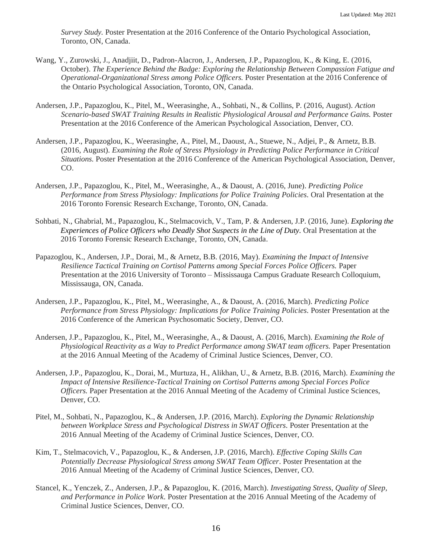*Survey Study.* Poster Presentation at the 2016 Conference of the Ontario Psychological Association, Toronto, ON, Canada.

- Wang, Y., Zurowski, J., Anadjiit, D., Padron-Alacron, J., Andersen, J.P., Papazoglou, K., & King, E. (2016, October). *The Experience Behind the Badge: Exploring the Relationship Between Compassion Fatigue and Operational-Organizational Stress among Police Officers.* Poster Presentation at the 2016 Conference of the Ontario Psychological Association, Toronto, ON, Canada.
- Andersen, J.P., Papazoglou, K., Pitel, M., Weerasinghe, A., Sohbati, N., & Collins, P. (2016, August). *Action Scenario-based SWAT Training Results in Realistic Physiological Arousal and Performance Gains.* Poster Presentation at the 2016 Conference of the American Psychological Association, Denver, CO.
- Andersen, J.P., Papazoglou, K., Weerasinghe, A., Pitel, M., Daoust, A., Stuewe, N., Adjei, P., & Arnetz, B.B. (2016, August). *Examining the Role of Stress Physiology in Predicting Police Performance in Critical Situations.* Poster Presentation at the 2016 Conference of the American Psychological Association, Denver, CO.
- Andersen, J.P., Papazoglou, K., Pitel, M., Weerasinghe, A., & Daoust, A. (2016, June). *Predicting Police Performance from Stress Physiology: Implications for Police Training Policies.* Oral Presentation at the 2016 Toronto Forensic Research Exchange, Toronto, ON, Canada.
- Sohbati, N., Ghabrial, M., Papazoglou, K., Stelmacovich, V., Tam, P. & Andersen, J.P. (2016, June). *Exploring the Experiences of Police Officers who Deadly Shot Suspects in the Line of Duty.* Oral Presentation at the 2016 Toronto Forensic Research Exchange, Toronto, ON, Canada.
- Papazoglou, K., Andersen, J.P., Dorai, M., & Arnetz, B.B. (2016, May). *Examining the Impact of Intensive Resilience Tactical Training on Cortisol Patterns among Special Forces Police Officers.* Paper Presentation at the 2016 University of Toronto – Mississauga Campus Graduate Research Colloquium, Mississauga, ON, Canada.
- Andersen, J.P., Papazoglou, K., Pitel, M., Weerasinghe, A., & Daoust, A. (2016, March). *Predicting Police Performance from Stress Physiology: Implications for Police Training Policies.* Poster Presentation at the 2016 Conference of the American Psychosomatic Society, Denver, CO.
- Andersen, J.P., Papazoglou, K., Pitel, M., Weerasinghe, A., & Daoust, A. (2016, March). *Examining the Role of Physiological Reactivity as a Way to Predict Performance among SWAT team officers.* Paper Presentation at the 2016 Annual Meeting of the Academy of Criminal Justice Sciences, Denver, CO.
- Andersen, J.P., Papazoglou, K., Dorai, M., Murtuza, H., Alikhan, U., & Arnetz, B.B. (2016, March). *Examining the Impact of Intensive Resilience-Tactical Training on Cortisol Patterns among Special Forces Police Officers.* Paper Presentation at the 2016 Annual Meeting of the Academy of Criminal Justice Sciences, Denver, CO.
- Pitel, M., Sohbati, N., Papazoglou, K., & Andersen, J.P. (2016, March). *Exploring the Dynamic Relationship between Workplace Stress and Psychological Distress in SWAT Officers.* Poster Presentation at the 2016 Annual Meeting of the Academy of Criminal Justice Sciences, Denver, CO.
- Kim, T., Stelmacovich, V., Papazoglou, K., & Andersen, J.P. (2016, March). *Effective Coping Skills Can Potentially Decrease Physiological Stress among SWAT Team Officer*. Poster Presentation at the 2016 Annual Meeting of the Academy of Criminal Justice Sciences, Denver, CO.
- Stancel, K., Yenczek, Z., Andersen, J.P., & Papazoglou, K. (2016, March). *Investigating Stress, Quality of Sleep, and Performance in Police Work.* Poster Presentation at the 2016 Annual Meeting of the Academy of Criminal Justice Sciences, Denver, CO.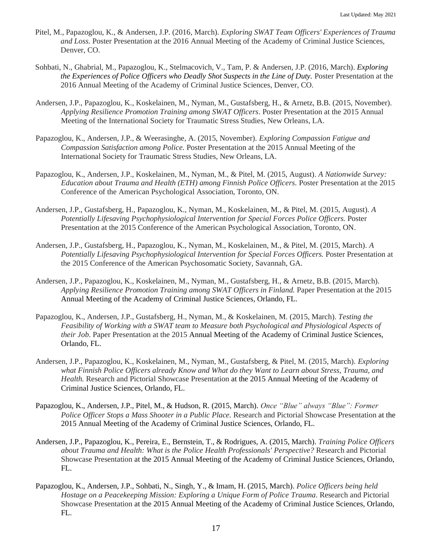- Pitel, M., Papazoglou, K., & Andersen, J.P. (2016, March). *Exploring SWAT Team Officers' Experiences of Trauma and Loss.* Poster Presentation at the 2016 Annual Meeting of the Academy of Criminal Justice Sciences, Denver, CO.
- Sohbati, N., Ghabrial, M., Papazoglou, K., Stelmacovich, V., Tam, P. & Andersen, J.P. (2016, March). *Exploring the Experiences of Police Officers who Deadly Shot Suspects in the Line of Duty.* Poster Presentation at the 2016 Annual Meeting of the Academy of Criminal Justice Sciences, Denver, CO.
- Andersen, J.P., Papazoglou, K., Koskelainen, M., Nyman, M., Gustafsberg, H., & Arnetz, B.B. (2015, November). *Applying Resilience Promotion Training among SWAT Officers*. Poster Presentation at the 2015 Annual Meeting of the International Society for Traumatic Stress Studies, New Orleans, LA.
- Papazoglou, K., Andersen, J.P., & Weerasinghe, A. (2015, November). *Exploring Compassion Fatigue and Compassion Satisfaction among Police.* Poster Presentation at the 2015 Annual Meeting of the International Society for Traumatic Stress Studies, New Orleans, LA.
- Papazoglou, K., Andersen, J.P., Koskelainen, M., Nyman, M., & Pitel, M. (2015, August). *A Nationwide Survey: Education about Trauma and Health (ETH) among Finnish Police Officers.* Poster Presentation at the 2015 Conference of the American Psychological Association, Toronto, ON.
- Andersen, J.P., Gustafsberg, H., Papazoglou, K., Nyman, M., Koskelainen, M., & Pitel, M. (2015, August). *A Potentially Lifesaving Psychophysiological Intervention for Special Forces Police Officers.* Poster Presentation at the 2015 Conference of the American Psychological Association, Toronto, ON.
- Andersen, J.P., Gustafsberg, H., Papazoglou, K., Nyman, M., Koskelainen, M., & Pitel, M. (2015, March). *A Potentially Lifesaving Psychophysiological Intervention for Special Forces Officers.* Poster Presentation at the 2015 Conference of the American Psychosomatic Society, Savannah, GA.
- Andersen, J.P., Papazoglou, K., Koskelainen, M., Nyman, M., Gustafsberg, H., & Arnetz, B.B. (2015, March). *Applying Resilience Promotion Training among SWAT Officers in Finland.* Paper Presentation at the 2015 Annual Meeting of the Academy of Criminal Justice Sciences, Orlando, FL.
- Papazoglou, K., Andersen, J.P., Gustafsberg, H., Nyman, M., & Koskelainen, M. (2015, March). *Testing the Feasibility of Working with a SWAT team to Measure both Psychological and Physiological Aspects of their Job*. Paper Presentation at the 2015 Annual Meeting of the Academy of Criminal Justice Sciences, Orlando, FL.
- Andersen, J.P., Papazoglou, K., Koskelainen, M., Nyman, M., Gustafsberg, & Pitel, M. (2015, March). *Exploring what Finnish Police Officers already Know and What do they Want to Learn about Stress, Trauma, and Health.* Research and Pictorial Showcase Presentation at the 2015 Annual Meeting of the Academy of Criminal Justice Sciences, Orlando, FL.
- Papazoglou, K., Andersen, J.P., Pitel, M., & Hudson, R. (2015, March). *Once "Blue" always "Blue": Former Police Officer Stops a Mass Shooter in a Public Place.* Research and Pictorial Showcase Presentation at the 2015 Annual Meeting of the Academy of Criminal Justice Sciences, Orlando, FL.
- Andersen, J.P., Papazoglou, K., Pereira, E., Bernstein, T., & Rodrigues, A. (2015, March). *Training Police Officers about Trauma and Health: What is the Police Health Professionals' Perspective?* Research and Pictorial Showcase Presentation at the 2015 Annual Meeting of the Academy of Criminal Justice Sciences, Orlando, FL.
- Papazoglou, K., Andersen, J.P., Sohbati, N., Singh, Y., & Imam, H. (2015, March). *Police Officers being held Hostage on a Peacekeeping Mission: Exploring a Unique Form of Police Trauma*. Research and Pictorial Showcase Presentation at the 2015 Annual Meeting of the Academy of Criminal Justice Sciences, Orlando, FL.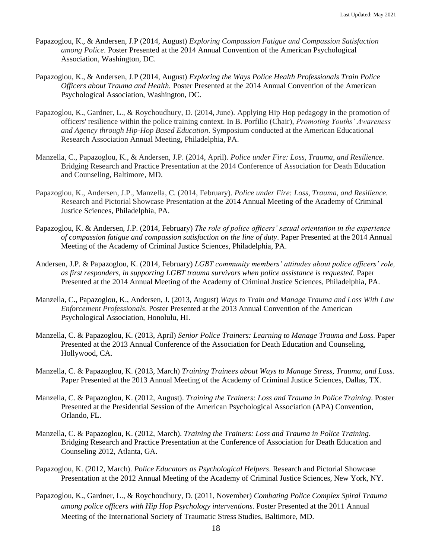- Papazoglou, K., & Andersen, J.P (2014, August) *Exploring Compassion Fatigue and Compassion Satisfaction among Police.* Poster Presented at the 2014 Annual Convention of the American Psychological Association, Washington, DC.
- Papazoglou, K., & Andersen, J.P (2014, August) *Exploring the Ways Police Health Professionals Train Police Officers about Trauma and Health.* Poster Presented at the 2014 Annual Convention of the American Psychological Association, Washington, DC.
- Papazoglou, K., Gardner, L., & Roychoudhury, D. (2014, June). Applying Hip Hop pedagogy in the promotion of officers' resilience within the police training context. In B. Porfilio (Chair), *Promoting Youths' Awareness and Agency through Hip-Hop Based Education*. Symposium conducted at the American Educational Research Association Annual Meeting, Philadelphia, PA.
- Manzella, C., Papazoglou, K., & Andersen, J.P. (2014, April). *Police under Fire: Loss, Trauma, and Resilience.* Bridging Research and Practice Presentation at the 2014 Conference of Association for Death Education and Counseling, Baltimore, MD.
- Papazoglou, K., Andersen, J.P., Manzella, C. (2014, February). *Police under Fire: Loss, Trauma, and Resilience.* Research and Pictorial Showcase Presentation at the 2014 Annual Meeting of the Academy of Criminal Justice Sciences, Philadelphia, PA.
- Papazoglou, K. & Andersen, J.P. (2014, February) *The role of police officers' sexual orientation in the experience of compassion fatigue and compassion satisfaction on the line of duty*. Paper Presented at the 2014 Annual Meeting of the Academy of Criminal Justice Sciences, Philadelphia, PA.
- Andersen, J.P. & Papazoglou, K. (2014, February) *LGBT community members' attitudes about police officers' role, as first responders, in supporting LGBT trauma survivors when police assistance is requested.* Paper Presented at the 2014 Annual Meeting of the Academy of Criminal Justice Sciences, Philadelphia, PA.
- Manzella, C., Papazoglou, K., Andersen, J. (2013, August) *Ways to Train and Manage Trauma and Loss With Law Enforcement Professionals*. Poster Presented at the 2013 Annual Convention of the American Psychological Association, Honolulu, HI.
- Manzella, C. & Papazoglou, K. (2013, April) *Senior Police Trainers: Learning to Manage Trauma and Loss.* Paper Presented at the 2013 Annual Conference of the Association for Death Education and Counseling, Hollywood, CA.
- Manzella, C. & Papazoglou, K. (2013, March) *Training Trainees about Ways to Manage Stress, Trauma, and Loss*. Paper Presented at the 2013 Annual Meeting of the Academy of Criminal Justice Sciences, Dallas, TX.
- Manzella, C. & Papazoglou, K. (2012, August). *Training the Trainers: Loss and Trauma in Police Training*. Poster Presented at the Presidential Session of the American Psychological Association (APA) Convention, Orlando, FL.
- Manzella, C. & Papazoglou, K. (2012, March). *Training the Trainers: Loss and Trauma in Police Training*. Bridging Research and Practice Presentation at the Conference of Association for Death Education and Counseling 2012, Atlanta, GA.
- Papazoglou, K. (2012, March). *Police Educators as Psychological Helpers*. Research and Pictorial Showcase Presentation at the 2012 Annual Meeting of the Academy of Criminal Justice Sciences, New York, NY.
- Papazoglou, K., Gardner, L., & Roychoudhury, D. (2011, November) *Combating Police Complex Spiral Trauma among police officers with Hip Hop Psychology interventions*. Poster Presented at the 2011 Annual Meeting of the International Society of Traumatic Stress Studies, Baltimore, MD.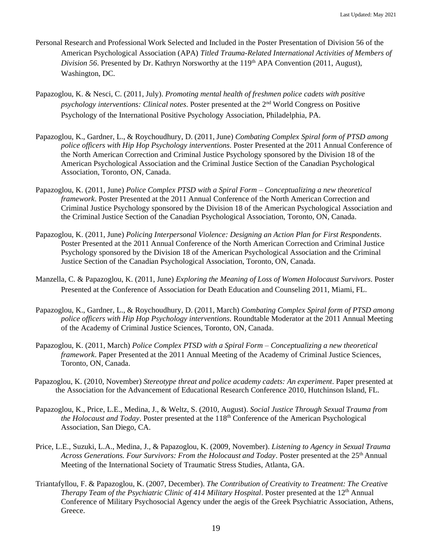- Personal Research and Professional Work Selected and Included in the Poster Presentation of Division 56 of the American Psychological Association (APA) *Titled Trauma-Related International Activities of Members of Division 56*. Presented by Dr. Kathryn Norsworthy at the 119<sup>th</sup> APA Convention (2011, August), Washington, DC.
- Papazoglou, K. & Nesci, C. (2011, July). *Promoting mental health of freshmen police cadets with positive psychology interventions: Clinical notes*. Poster presented at the 2nd World Congress on Positive Psychology of the International Positive Psychology Association, Philadelphia, PA.
- Papazoglou, K., Gardner, L., & Roychoudhury, D. (2011, June) *Combating Complex Spiral form of PTSD among police officers with Hip Hop Psychology interventions*. Poster Presented at the 2011 Annual Conference of the North American Correction and Criminal Justice Psychology sponsored by the Division 18 of the American Psychological Association and the Criminal Justice Section of the Canadian Psychological Association, Toronto, ON, Canada.
- Papazoglou, K. (2011, June) *Police Complex PTSD with a Spiral Form – Conceptualizing a new theoretical framework*. Poster Presented at the 2011 Annual Conference of the North American Correction and Criminal Justice Psychology sponsored by the Division 18 of the American Psychological Association and the Criminal Justice Section of the Canadian Psychological Association, Toronto, ON, Canada.
- Papazoglou, K. (2011, June) *Policing Interpersonal Violence: Designing an Action Plan for First Respondents*. Poster Presented at the 2011 Annual Conference of the North American Correction and Criminal Justice Psychology sponsored by the Division 18 of the American Psychological Association and the Criminal Justice Section of the Canadian Psychological Association, Toronto, ON, Canada.
- Manzella, C. & Papazoglou, K. (2011, June) *Exploring the Meaning of Loss of Women Holocaust Survivors*. Poster Presented at the Conference of Association for Death Education and Counseling 2011, Miami, FL.
- Papazoglou, K., Gardner, L., & Roychoudhury, D. (2011, March) *Combating Complex Spiral form of PTSD among police officers with Hip Hop Psychology interventions*. Roundtable Moderator at the 2011 Annual Meeting of the Academy of Criminal Justice Sciences, Toronto, ON, Canada.
- Papazoglou, K. (2011, March) *Police Complex PTSD with a Spiral Form – Conceptualizing a new theoretical framework*. Paper Presented at the 2011 Annual Meeting of the Academy of Criminal Justice Sciences, Toronto, ON, Canada.
- Papazoglou, K. (2010, November) *Stereotype threat and police academy cadets: An experiment*. Paper presented at the Association for the Advancement of Educational Research Conference 2010, Hutchinson Island, FL.
- Papazoglou, K., Price, L.E., Medina, J., & Weltz, S. (2010, August). *Social Justice Through Sexual Trauma from the Holocaust and Today*. Poster presented at the 118<sup>th</sup> Conference of the American Psychological Association, San Diego, CA.
- Price, L.E., Suzuki, L.A., Medina, J., & Papazoglou, K. (2009, November). *Listening to Agency in Sexual Trauma Across Generations. Four Survivors: From the Holocaust and Today*. Poster presented at the 25th Annual Meeting of the International Society of Traumatic Stress Studies, Atlanta, GA.
- Triantafyllou, F. & Papazoglou, K. (2007, December). *The Contribution of Creativity to Treatment: The Creative Therapy Team of the Psychiatric Clinic of 414 Military Hospital.* Poster presented at the 12<sup>th</sup> Annual Conference of Military Psychosocial Agency under the aegis of the Greek Psychiatric Association, Athens, Greece.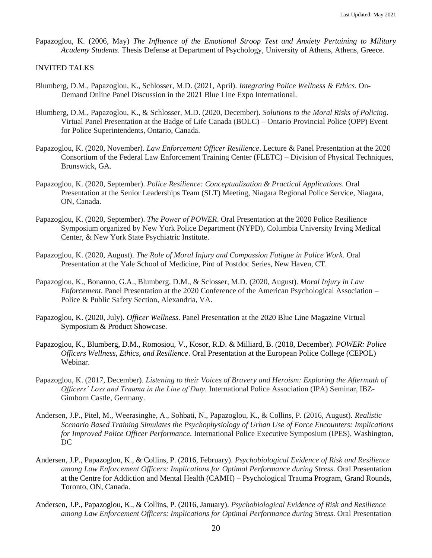Papazoglou, K. (2006, May) *The Influence of the Emotional Stroop Test and Anxiety Pertaining to Military Academy Students*. Thesis Defense at Department of Psychology, University of Athens, Athens, Greece.

# INVITED TALKS

- Blumberg, D.M., Papazoglou, K., Schlosser, M.D. (2021, April). *Integrating Police Wellness & Ethics*. On-Demand Online Panel Discussion in the 2021 Blue Line Expo International.
- Blumberg, D.M., Papazoglou, K., & Schlosser, M.D. (2020, December). *Solutions to the Moral Risks of Policing*. Virtual Panel Presentation at the Badge of Life Canada (BOLC) – Ontario Provincial Police (OPP) Event for Police Superintendents, Ontario, Canada.
- Papazoglou, K. (2020, November). *Law Enforcement Officer Resilience*. Lecture & Panel Presentation at the 2020 Consortium of the Federal Law Enforcement Training Center (FLETC) – Division of Physical Techniques, Brunswick, GA.
- Papazoglou, K. (2020, September). *Police Resilience: Conceptualization & Practical Applications*. Oral Presentation at the Senior Leaderships Team (SLT) Meeting, Niagara Regional Police Service, Niagara, ON, Canada.
- Papazoglou, K. (2020, September). *The Power of POWER*. Oral Presentation at the 2020 Police Resilience Symposium organized by New York Police Department (NYPD), Columbia University Irving Medical Center, & New York State Psychiatric Institute.
- Papazoglou, K. (2020, August). *The Role of Moral Injury and Compassion Fatigue in Police Work*. Oral Presentation at the Yale School of Medicine, Pint of Postdoc Series, New Haven, CT.
- Papazoglou, K., Bonanno, G.A., Blumberg, D.M., & Sclosser, M.D. (2020, August). *Moral Injury in Law Enforcement*. Panel Presentation at the 2020 Conference of the American Psychological Association – Police & Public Safety Section, Alexandria, VA.
- Papazoglou, K. (2020, July). *Officer Wellness*. Panel Presentation at the 2020 Blue Line Magazine Virtual Symposium & Product Showcase.
- Papazoglou, K., Blumberg, D.M., Romosiou, V., Kosor, R.D. & Milliard, B. (2018, December). *POWER: Police Officers Wellness, Ethics, and Resilience*. Oral Presentation at the European Police College (CEPOL) Webinar.
- Papazoglou, K. (2017, December). *Listening to their Voices of Bravery and Heroism: Exploring the Aftermath of Officers' Loss and Trauma in the Line of Duty.* International Police Association (IPA) Seminar, IBZ-Gimborn Castle, Germany.
- Andersen, J.P., Pitel, M., Weerasinghe, A., Sohbati, N., Papazoglou, K., & Collins, P. (2016, August). *Realistic Scenario Based Training Simulates the Psychophysiology of Urban Use of Force Encounters: Implications for Improved Police Officer Performance.* International Police Executive Symposium (IPES), Washington, DC
- Andersen, J.P., Papazoglou, K., & Collins, P. (2016, February). *Psychobiological Evidence of Risk and Resilience among Law Enforcement Officers: Implications for Optimal Performance during Stress.* Oral Presentation at the Centre for Addiction and Mental Health (CAMH) – Psychological Trauma Program, Grand Rounds, Toronto, ON, Canada.
- Andersen, J.P., Papazoglou, K., & Collins, P. (2016, January). *Psychobiological Evidence of Risk and Resilience among Law Enforcement Officers: Implications for Optimal Performance during Stress.* Oral Presentation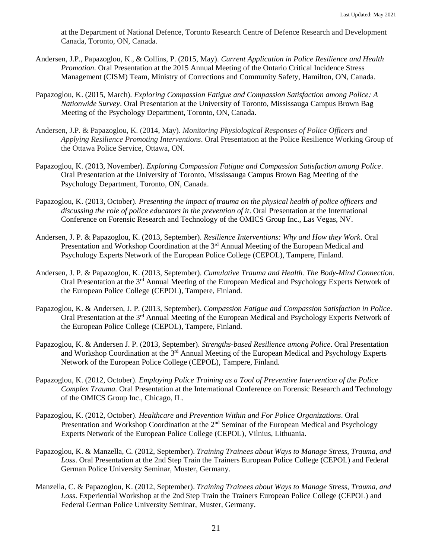at the Department of National Defence, Toronto Research Centre of Defence Research and Development Canada, Toronto, ON, Canada.

- Andersen, J.P., Papazoglou, K., & Collins, P. (2015, May). *Current Application in Police Resilience and Health Promotion*. Oral Presentation at the 2015 Annual Meeting of the Ontario Critical Incidence Stress Management (CISM) Team, Ministry of Corrections and Community Safety, Hamilton, ON, Canada.
- Papazoglou, K. (2015, March). *Exploring Compassion Fatigue and Compassion Satisfaction among Police: A Nationwide Survey*. Oral Presentation at the University of Toronto, Mississauga Campus Brown Bag Meeting of the Psychology Department, Toronto, ON, Canada.
- Andersen, J.P. & Papazoglou, K. (2014, May). *Monitoring Physiological Responses of Police Officers and Applying Resilience Promoting Interventions*. Oral Presentation at the Police Resilience Working Group of the Ottawa Police Service, Ottawa, ON.
- Papazoglou, K. (2013, November). *Exploring Compassion Fatigue and Compassion Satisfaction among Police*. Oral Presentation at the University of Toronto, Mississauga Campus Brown Bag Meeting of the Psychology Department, Toronto, ON, Canada.
- Papazoglou, K. (2013, October). *Presenting the impact of trauma on the physical health of police officers and discussing the role of police educators in the prevention of it*. Oral Presentation at the International Conference on Forensic Research and Technology of the OMICS Group Inc., Las Vegas, NV.
- Andersen, J. P. & Papazoglou, K. (2013, September). *Resilience Interventions: Why and How they Work*. Oral Presentation and Workshop Coordination at the 3<sup>rd</sup> Annual Meeting of the European Medical and Psychology Experts Network of the European Police College (CEPOL), Tampere, Finland.
- Andersen, J. P. & Papazoglou, K. (2013, September). *Cumulative Trauma and Health. The Body-Mind Connection*. Oral Presentation at the 3rd Annual Meeting of the European Medical and Psychology Experts Network of the European Police College (CEPOL), Tampere, Finland.
- Papazoglou, K. & Andersen, J. P. (2013, September). *Compassion Fatigue and Compassion Satisfaction in Police*. Oral Presentation at the 3<sup>rd</sup> Annual Meeting of the European Medical and Psychology Experts Network of the European Police College (CEPOL), Tampere, Finland.
- Papazoglou, K. & Andersen J. P. (2013, September). *Strengths-based Resilience among Police*. Oral Presentation and Workshop Coordination at the 3<sup>rd</sup> Annual Meeting of the European Medical and Psychology Experts Network of the European Police College (CEPOL), Tampere, Finland.
- Papazoglou, K. (2012, October). *Employing Police Training as a Tool of Preventive Intervention of the Police Complex Trauma.* Oral Presentation at the International Conference on Forensic Research and Technology of the OMICS Group Inc., Chicago, IL.
- Papazoglou, K. (2012, October). *Healthcare and Prevention Within and For Police Organizations*. Oral Presentation and Workshop Coordination at the 2<sup>nd</sup> Seminar of the European Medical and Psychology Experts Network of the European Police College (CEPOL), Vilnius, Lithuania.
- Papazoglou, K. & Manzella, C. (2012, September). *Training Trainees about Ways to Manage Stress, Trauma, and Loss*. Oral Presentation at the 2nd Step Train the Trainers European Police College (CEPOL) and Federal German Police University Seminar, Muster, Germany.
- Manzella, C. & Papazoglou, K. (2012, September). *Training Trainees about Ways to Manage Stress, Trauma, and Loss*. Experiential Workshop at the 2nd Step Train the Trainers European Police College (CEPOL) and Federal German Police University Seminar, Muster, Germany.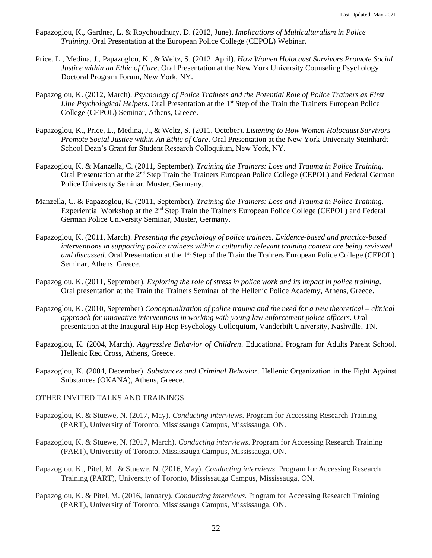- Papazoglou, K., Gardner, L. & Roychoudhury, D. (2012, June). *Implications of Multiculturalism in Police Training*. Oral Presentation at the European Police College (CEPOL) Webinar.
- Price, L., Medina, J., Papazoglou, K., & Weltz, S. (2012, April). *How Women Holocaust Survivors Promote Social Justice within an Ethic of Care*. Oral Presentation at the New York University Counseling Psychology Doctoral Program Forum, New York, NY.
- Papazoglou, K. (2012, March). *Psychology of Police Trainees and the Potential Role of Police Trainers as First Line Psychological Helpers*. Oral Presentation at the 1<sup>st</sup> Step of the Train the Trainers European Police College (CEPOL) Seminar, Athens, Greece.
- Papazoglou, K., Price, L., Medina, J., & Weltz, S. (2011, October). *Listening to How Women Holocaust Survivors Promote Social Justice within An Ethic of Care*. Oral Presentation at the New York University Steinhardt School Dean's Grant for Student Research Colloquium, New York, NY.
- Papazoglou, K. & Manzella, C. (2011, September). *Training the Trainers: Loss and Trauma in Police Training*. Oral Presentation at the 2<sup>nd</sup> Step Train the Trainers European Police College (CEPOL) and Federal German Police University Seminar, Muster, Germany.
- Manzella, C. & Papazoglou, K. (2011, September). *Training the Trainers: Loss and Trauma in Police Training*. Experiential Workshop at the  $2<sup>nd</sup>$  Step Train the Trainers European Police College (CEPOL) and Federal German Police University Seminar, Muster, Germany.
- Papazoglou, K. (2011, March). *Presenting the psychology of police trainees. Evidence-based and practice-based interventions in supporting police trainees within a culturally relevant training context are being reviewed and discussed*. Oral Presentation at the 1<sup>st</sup> Step of the Train the Trainers European Police College (CEPOL) Seminar, Athens, Greece.
- Papazoglou, K. (2011, September). *Exploring the role of stress in police work and its impact in police training*. Oral presentation at the Train the Trainers Seminar of the Hellenic Police Academy, Athens, Greece.
- Papazoglou, K. (2010, September) *Conceptualization of police trauma and the need for a new theoretical – clinical approach for innovative interventions in working with young law enforcement police officers*. Oral presentation at the Inaugural Hip Hop Psychology Colloquium, Vanderbilt University, Nashville, TN.
- Papazoglou, K. (2004, March). *Aggressive Behavior of Children*. Educational Program for Adults Parent School. Hellenic Red Cross, Athens, Greece.
- Papazoglou, K. (2004, December). *Substances and Criminal Behavior*. Hellenic Organization in the Fight Against Substances (OKANA), Athens, Greece.

### OTHER INVITED TALKS AND TRAININGS

- Papazoglou, K. & Stuewe, N. (2017, May). *Conducting interviews*. Program for Accessing Research Training (PART), University of Toronto, Mississauga Campus, Mississauga, ON.
- Papazoglou, K. & Stuewe, N. (2017, March). *Conducting interviews*. Program for Accessing Research Training (PART), University of Toronto, Mississauga Campus, Mississauga, ON.
- Papazoglou, K., Pitel, M., & Stuewe, N. (2016, May). *Conducting interviews*. Program for Accessing Research Training (PART), University of Toronto, Mississauga Campus, Mississauga, ON.
- Papazoglou, K. & Pitel, M. (2016, January). *Conducting interviews*. Program for Accessing Research Training (PART), University of Toronto, Mississauga Campus, Mississauga, ON.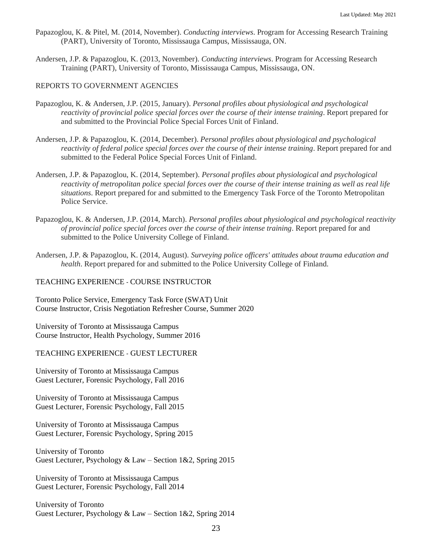- Papazoglou, K. & Pitel, M. (2014, November). *Conducting interviews*. Program for Accessing Research Training (PART), University of Toronto, Mississauga Campus, Mississauga, ON.
- Andersen, J.P. & Papazoglou, K. (2013, November). *Conducting interviews*. Program for Accessing Research Training (PART), University of Toronto, Mississauga Campus, Mississauga, ON.

## REPORTS TO GOVERNMENT AGENCIES

- Papazoglou, K. & Andersen, J.P. (2015, January). *Personal profiles about physiological and psychological reactivity of provincial police special forces over the course of their intense training*. Report prepared for and submitted to the Provincial Police Special Forces Unit of Finland.
- Andersen, J.P. & Papazoglou, K. (2014, December). *Personal profiles about physiological and psychological reactivity of federal police special forces over the course of their intense training*. Report prepared for and submitted to the Federal Police Special Forces Unit of Finland.
- Andersen, J.P. & Papazoglou, K. (2014, September). *Personal profiles about physiological and psychological reactivity of metropolitan police special forces over the course of their intense training as well as real life situations*. Report prepared for and submitted to the Emergency Task Force of the Toronto Metropolitan Police Service.
- Papazoglou, K. & Andersen, J.P. (2014, March). *Personal profiles about physiological and psychological reactivity of provincial police special forces over the course of their intense training*. Report prepared for and submitted to the Police University College of Finland.
- Andersen, J.P. & Papazoglou, K. (2014, August). *Surveying police officers' attitudes about trauma education and health*. Report prepared for and submitted to the Police University College of Finland.

# TEACHING EXPERIENCE - COURSE INSTRUCTOR

Toronto Police Service, Emergency Task Force (SWAT) Unit Course Instructor, Crisis Negotiation Refresher Course, Summer 2020

University of Toronto at Mississauga Campus Course Instructor, Health Psychology, Summer 2016

## TEACHING EXPERIENCE - GUEST LECTURER

University of Toronto at Mississauga Campus Guest Lecturer, Forensic Psychology, Fall 2016

University of Toronto at Mississauga Campus Guest Lecturer, Forensic Psychology, Fall 2015

University of Toronto at Mississauga Campus Guest Lecturer, Forensic Psychology, Spring 2015

University of Toronto Guest Lecturer, Psychology & Law – Section 1&2, Spring 2015

University of Toronto at Mississauga Campus Guest Lecturer, Forensic Psychology, Fall 2014

University of Toronto Guest Lecturer, Psychology & Law – Section 1&2, Spring 2014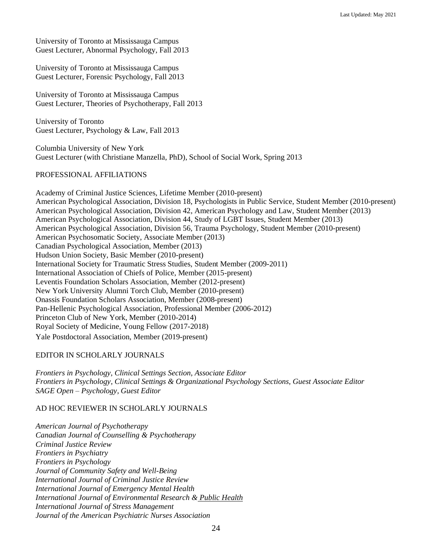University of Toronto at Mississauga Campus Guest Lecturer, Abnormal Psychology, Fall 2013

University of Toronto at Mississauga Campus Guest Lecturer, Forensic Psychology, Fall 2013

University of Toronto at Mississauga Campus Guest Lecturer, Theories of Psychotherapy, Fall 2013

University of Toronto Guest Lecturer, Psychology & Law, Fall 2013

Columbia University of New York Guest Lecturer (with Christiane Manzella, PhD), School of Social Work, Spring 2013

# PROFESSIONAL AFFILIATIONS

Academy of Criminal Justice Sciences, Lifetime Member (2010-present) American Psychological Association, Division 18, Psychologists in Public Service, Student Member (2010-present) American Psychological Association, Division 42, American Psychology and Law, Student Member (2013) American Psychological Association, Division 44, Study of LGBT Issues, Student Member (2013) American Psychological Association, Division 56, Trauma Psychology, Student Member (2010-present) American Psychosomatic Society, Associate Member (2013) Canadian Psychological Association, Member (2013) Hudson Union Society, Basic Member (2010-present) International Society for Traumatic Stress Studies, Student Member (2009-2011) International Association of Chiefs of Police, Member (2015-present) Leventis Foundation Scholars Association, Member (2012-present) New York University Alumni Torch Club, Member (2010-present) Onassis Foundation Scholars Association, Member (2008-present) Pan-Hellenic Psychological Association, Professional Member (2006-2012) Princeton Club of New York, Member (2010-2014) Royal Society of Medicine, Young Fellow (2017-2018) Yale Postdoctoral Association, Member (2019-present)

# EDITOR IN SCHOLARLY JOURNALS

*Frontiers in Psychology, Clinical Settings Section, Associate Editor Frontiers in Psychology, Clinical Settings & Organizational Psychology Sections, Guest Associate Editor SAGE Open – Psychology, Guest Editor*

# AD HOC REVIEWER IN SCHOLARLY JOURNALS

*American Journal of Psychotherapy Canadian Journal of Counselling & Psychotherapy Criminal Justice Review Frontiers in Psychiatry Frontiers in Psychology Journal of Community Safety and Well-Being International Journal of Criminal Justice Review International Journal of Emergency Mental Health International Journal of Environmental Research & Public Health International Journal of Stress Management Journal of the American Psychiatric Nurses Association*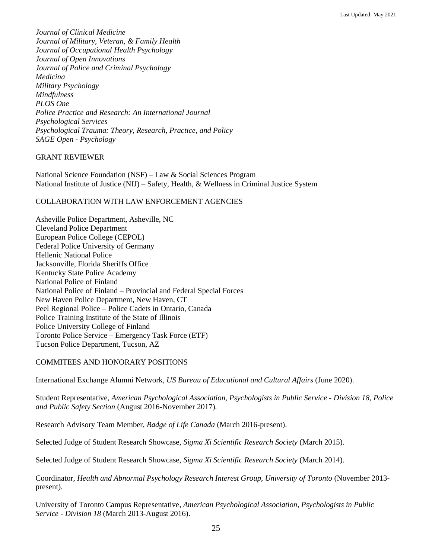*Journal of Clinical Medicine Journal of Military, Veteran, & Family Health Journal of Occupational Health Psychology Journal of Open Innovations Journal of Police and Criminal Psychology Medicina Military Psychology Mindfulness PLOS One Police Practice and Research: An International Journal Psychological Services Psychological Trauma: Theory, Research, Practice, and Policy SAGE Open - Psychology*

# GRANT REVIEWER

National Science Foundation (NSF) – Law & Social Sciences Program National Institute of Justice (NIJ) – Safety, Health, & Wellness in Criminal Justice System

# COLLABORATION WITH LAW ENFORCEMENT AGENCIES

Asheville Police Department, Asheville, NC Cleveland Police Department European Police College (CEPOL) Federal Police University of Germany Hellenic National Police Jacksonville, Florida Sheriffs Office Kentucky State Police Academy National Police of Finland National Police of Finland – Provincial and Federal Special Forces New Haven Police Department, New Haven, CT Peel Regional Police – Police Cadets in Ontario, Canada Police Training Institute of the State of Illinois Police University College of Finland Toronto Police Service – Emergency Task Force (ETF) Tucson Police Department, Tucson, AZ

# COMMITEES AND HONORARY POSITIONS

International Exchange Alumni Network, *US Bureau of Educational and Cultural Affairs* (June 2020).

Student Representative, *American Psychological Association, Psychologists in Public Service - Division 18, Police and Public Safety Section* (August 2016-November 2017).

Research Advisory Team Member, *Badge of Life Canada* (March 2016-present).

Selected Judge of Student Research Showcase, *Sigma Xi Scientific Research Society* (March 2015).

Selected Judge of Student Research Showcase, *Sigma Xi Scientific Research Society* (March 2014).

Coordinator, *Health and Abnormal Psychology Research Interest Group, University of Toronto* (November 2013 present).

University of Toronto Campus Representative, *American Psychological Association, Psychologists in Public Service - Division 18* (March 2013-August 2016).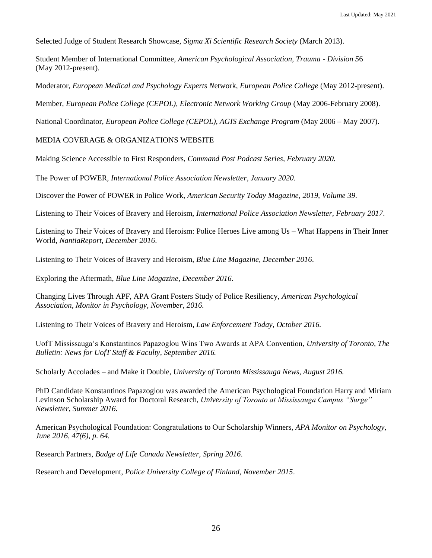Selected Judge of Student Research Showcase, *Sigma Xi Scientific Research Society* (March 2013).

Student Member of International Committee, *American Psychological Association, Trauma - Division 5*6 (May 2012-present).

Moderator, *European Medical and Psychology Experts N*etwork, *European Police College* (May 2012-present).

Member, *European Police College (CEPOL), Electronic Network Working Group* (May 2006-February 2008).

National Coordinator, *European Police College (CEPOL), AGIS Exchange Program* (May 2006 – May 2007).

MEDIA COVERAGE & ORGANIZATIONS WEBSITE

Making Science Accessible to First Responders, *Command Post Podcast Series, February 2020.*

The Power of POWER, *International Police Association Newsletter, January 2020*.

Discover the Power of POWER in Police Work, *American Security Today Magazine, 2019, Volume 39.*

Listening to Their Voices of Bravery and Heroism, *International Police Association Newsletter, February 2017*.

Listening to Their Voices of Bravery and Heroism: Police Heroes Live among Us – What Happens in Their Inner World, *NantiaReport, December 2016*.

Listening to Their Voices of Bravery and Heroism, *Blue Line Magazine, December 2016*.

Exploring the Aftermath, *Blue Line Magazine, December 2016*.

Changing Lives Through APF, APA Grant Fosters Study of Police Resiliency, *American Psychological Association, Monitor in Psychology, November, 2016.*

Listening to Their Voices of Bravery and Heroism, *Law Enforcement Today, October 2016.*

UofT Mississauga's Konstantinos Papazoglou Wins Two Awards at APA Convention, *University of Toronto, The Bulletin: News for UofT Staff & Faculty, September 2016.*

Scholarly Accolades – and Make it Double, *University of Toronto Mississauga News, August 2016.*

PhD Candidate Konstantinos Papazoglou was awarded the American Psychological Foundation Harry and Miriam Levinson Scholarship Award for Doctoral Research, *University of Toronto at Mississauga Campus "Surge" Newsletter, Summer 2016.*

American Psychological Foundation: Congratulations to Our Scholarship Winners, *APA Monitor on Psychology, June 2016, 47(6), p. 64.*

Research Partners, *Badge of Life Canada Newsletter, Spring 2016*.

Research and Development, *Police University College of Finland, November 2015*.